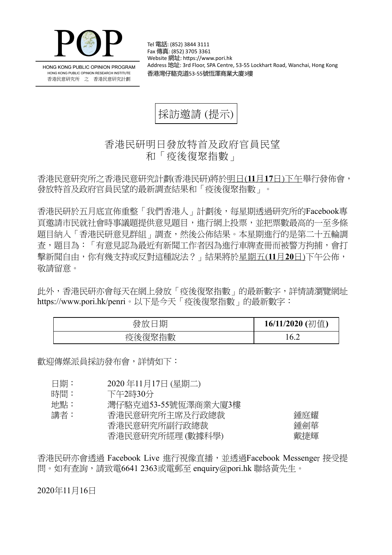

HONG KONG PUBLIC OPINION PROGRAM HONG KONG PUBLIC OPINION RESEARCH INSTITUTE 香港民意研究所 之 香港民意研究計劃

Tel 電話: (852) 3844 3111 Fax 傳真: (852) 3705 3361 Website 網址: https://www.pori.hk Address 地址: 3rd Floor, SPA Centre, 53-55 Lockhart Road, Wanchai, Hong Kong 香港灣仔駱克道53-55號恆澤商業大廈3樓

採訪邀請 (提示)

香港民研明日發放特首及政府官員民望 和「疫後復聚指數」

香港民意研究所之香港民意研究計劃(香港民研)將於明日(**11**月**17**日)下午舉行發佈會, 發放特首及政府官員民望的最新調查結果和「疫後復聚指數」。

香港民研於五月底宣佈重整「我們香港人」計劃後,每星期透過研究所的Facebook專 頁邀請市民就社會時事議題提供意見題目,進行網上投票,並把票數最高的一至多條 題目納入「香港民研意見群組」調查,然後公佈結果。本星期進行的是第二十五輪調 查,題目為:「有意見認為最近有新聞工作者因為進行車牌查冊而被警方拘捕,會打 擊新聞自由,你有幾支持或反對這種說法?」結果將於星期五(**11**月**20**日)下午公佈, 敬請留意。

此外,香港民研亦會每天在網上發放「疫後復聚指數」的最新數字,詳情請瀏覽網址 <https://www.pori.hk/penri>。以下是今天「疫後復聚指數」的最新數字:

| 期      | (初值        |
|--------|------------|
| 铵      | 16/11/2020 |
| 疫後復聚指數 | А<br>1 V.Z |

歡迎傳媒派員採訪發布會,詳情如下:

- 日期: 2020 年11月17日 (星期二)
- 時間: 下午2時30分

地點: 灣仔駱克道53-55號恆澤商業大廈3樓

| 講者: | 香港民意研究所主席及行政總裁  | 鍾庭耀 |
|-----|-----------------|-----|
|     | 香港民意研究所副行政總裁    | 鍾劍華 |
|     | 香港民意研究所經理(數據科學) | 戴捷輝 |

香港民研亦會诱過 Facebook Live 淮行視像直播, 並诱過Facebook Messenger 接受提 問。如有查詢,請致電6641 2363或電郵至 enquiry@pori.hk 聯絡黃先生。

2020年11月16日